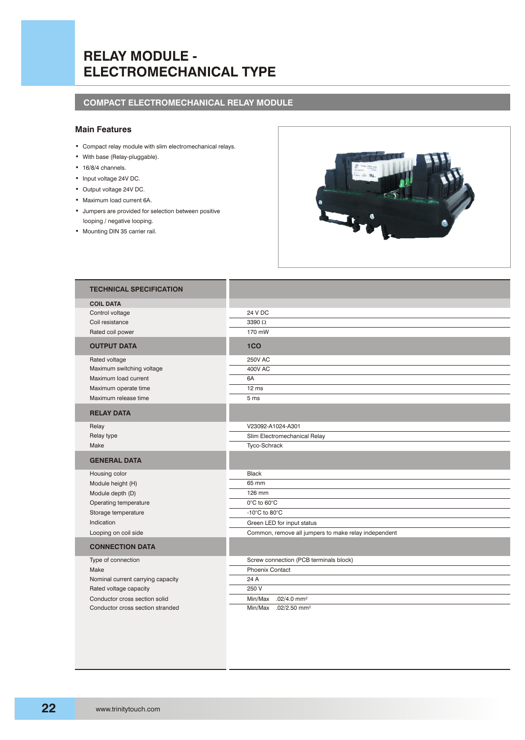# **RELAY MODULE - ELECTROMECHANICAL TYPE**

### **COMPACT ELECTROMECHANICAL RELAY MODULE**

#### **Main Features**

- Compact relay module with slim electromechanical relays.
- With base (Relay-pluggable).
- 16/8/4 channels.
- Input voltage 24V DC.
- Output voltage 24V DC.
- Maximum load current 6A.
- Jumpers are provided for selection between positive looping / negative looping.
- Mounting DIN 35 carrier rail.



| <b>TECHNICAL SPECIFICATION</b>    |                                                      |  |  |
|-----------------------------------|------------------------------------------------------|--|--|
| <b>COIL DATA</b>                  |                                                      |  |  |
| Control voltage                   | 24 V DC                                              |  |  |
| Coil resistance                   | 3390 $\Omega$                                        |  |  |
| Rated coil power                  | 170 mW                                               |  |  |
| <b>OUTPUT DATA</b>                | 1CO                                                  |  |  |
| Rated voltage                     | <b>250V AC</b>                                       |  |  |
| Maximum switching voltage         | <b>400V AC</b>                                       |  |  |
| Maximum load current              | 6A                                                   |  |  |
| Maximum operate time              | 12 ms                                                |  |  |
| Maximum release time              | 5 ms                                                 |  |  |
| <b>RELAY DATA</b>                 |                                                      |  |  |
| Relay                             | V23092-A1024-A301                                    |  |  |
| Relay type                        | Slim Electromechanical Relay                         |  |  |
| Make                              | Tyco-Schrack                                         |  |  |
| <b>GENERAL DATA</b>               |                                                      |  |  |
| Housing color                     | <b>Black</b>                                         |  |  |
| Module height (H)                 | 65 mm                                                |  |  |
| Module depth (D)                  | 126 mm                                               |  |  |
| Operating temperature             | $0^{\circ}$ C to $60^{\circ}$ C                      |  |  |
| Storage temperature               | -10 $^{\circ}$ C to 80 $^{\circ}$ C                  |  |  |
| Indication                        | Green LED for input status                           |  |  |
| Looping on coil side              | Common, remove all jumpers to make relay independent |  |  |
| <b>CONNECTION DATA</b>            |                                                      |  |  |
| Type of connection                | Screw connection (PCB terminals block)               |  |  |
| Make                              | <b>Phoenix Contact</b>                               |  |  |
| Nominal current carrying capacity | 24 A                                                 |  |  |
| Rated voltage capacity            | 250 V                                                |  |  |
| Conductor cross section solid     | $.02/4.0$ mm <sup>2</sup><br>Min/Max                 |  |  |
| Conductor cross section stranded  | Min/Max<br>$.02/2.50$ mm <sup>2</sup>                |  |  |